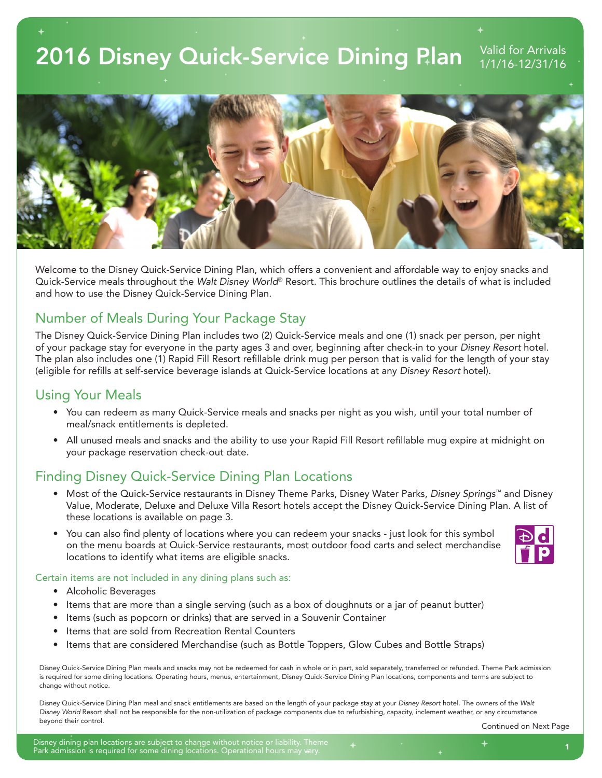# 2016 Disney Quick-Service Dining Plan Valid for Arrivals



Welcome to the Disney Quick-Service Dining Plan, which offers a convenient and affordable way to enjoy snacks and Quick-Service meals throughout the *Walt Disney World*® Resort. This brochure outlines the details of what is included and how to use the Disney Quick-Service Dining Plan.

## Number of Meals During Your Package Stay

The Disney Quick-Service Dining Plan includes two (2) Quick-Service meals and one (1) snack per person, per night of your package stay for everyone in the party ages 3 and over, beginning after check-in to your *Disney Resort* hotel. The plan also includes one (1) Rapid Fill Resort refillable drink mug per person that is valid for the length of your stay (eligible for refills at self-service beverage islands at Quick-Service locations at any *Disney Resort* hotel).

### Using Your Meals

- You can redeem as many Quick-Service meals and snacks per night as you wish, until your total number of meal/snack entitlements is depleted.
- All unused meals and snacks and the ability to use your Rapid Fill Resort refillable mug expire at midnight on your package reservation check-out date.

# Finding Disney Quick-Service Dining Plan Locations

- Most of the Quick-Service restaurants in Disney Theme Parks, Disney Water Parks, *Disney Springs*™ and Disney Value, Moderate, Deluxe and Deluxe Villa Resort hotels accept the Disney Quick-Service Dining Plan. A list of these locations is available on page 3.
- You can also find plenty of locations where you can redeem your snacks just look for this symbol on the menu boards at Quick-Service restaurants, most outdoor food carts and select merchandise locations to identify what items are eligible snacks.



### Certain items are not included in any dining plans such as:

- Alcoholic Beverages
- Items that are more than a single serving (such as a box of doughnuts or a jar of peanut butter)
- Items (such as popcorn or drinks) that are served in a Souvenir Container
- Items that are sold from Recreation Rental Counters
- Items that are considered Merchandise (such as Bottle Toppers, Glow Cubes and Bottle Straps)

Disney Quick-Service Dining Plan meals and snacks may not be redeemed for cash in whole or in part, sold separately, transferred or refunded. Theme Park admission is required for some dining locations. Operating hours, menus, entertainment, Disney Quick-Service Dining Plan locations, components and terms are subject to change without notice.

Disney Quick-Service Dining Plan meal and snack entitlements are based on the length of your package stay at your *Disney Resort* hotel. The owners of the *Walt Disney World* Resort shall not be responsible for the non-utilization of package components due to refurbishing, capacity, inclement weather, or any circumstance beyond their control.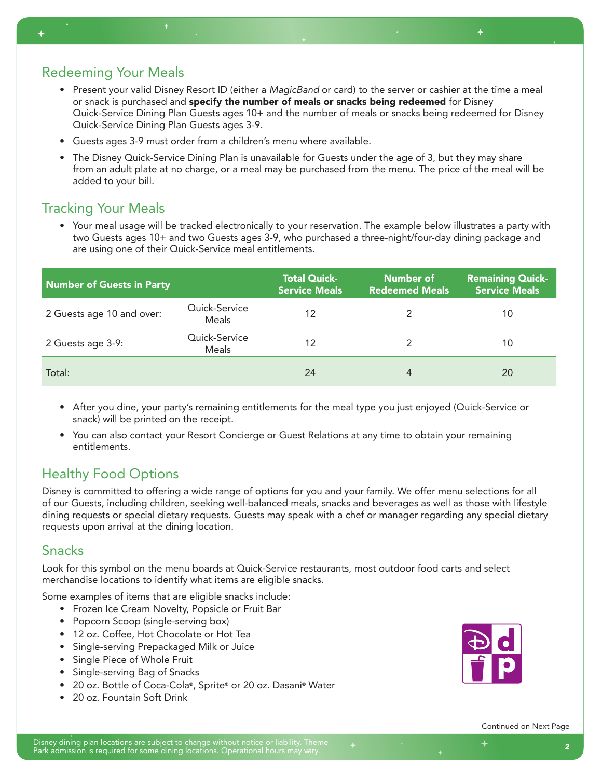# Redeeming Your Meals

- Present your valid Disney Resort ID (either a *MagicBand* or card) to the server or cashier at the time a meal or snack is purchased and specify the number of meals or snacks being redeemed for Disney Quick-Service Dining Plan Guests ages 10+ and the number of meals or snacks being redeemed for Disney Quick-Service Dining Plan Guests ages 3-9.
- Guests ages 3-9 must order from a children's menu where available.
- The Disney Quick-Service Dining Plan is unavailable for Guests under the age of 3, but they may share from an adult plate at no charge, or a meal may be purchased from the menu. The price of the meal will be added to your bill.

### Tracking Your Meals

• Your meal usage will be tracked electronically to your reservation. The example below illustrates a party with two Guests ages 10+ and two Guests ages 3-9, who purchased a three-night/four-day dining package and are using one of their Quick-Service meal entitlements.

| Number of Guests in Party |                        | <b>Total Quick-</b><br><b>Service Meals</b> | Number of<br><b>Redeemed Meals</b> | <b>Remaining Quick-</b><br><b>Service Meals</b> |
|---------------------------|------------------------|---------------------------------------------|------------------------------------|-------------------------------------------------|
| 2 Guests age 10 and over: | Quick-Service<br>Meals | 12                                          |                                    | 10                                              |
| 2 Guests age 3-9:         | Quick-Service<br>Meals | 12                                          |                                    | 10                                              |
| Total:                    |                        | 24                                          |                                    | 20                                              |

- After you dine, your party's remaining entitlements for the meal type you just enjoyed (Quick-Service or snack) will be printed on the receipt.
- You can also contact your Resort Concierge or Guest Relations at any time to obtain your remaining entitlements.

# Healthy Food Options

Disney is committed to offering a wide range of options for you and your family. We offer menu selections for all of our Guests, including children, seeking well-balanced meals, snacks and beverages as well as those with lifestyle dining requests or special dietary requests. Guests may speak with a chef or manager regarding any special dietary requests upon arrival at the dining location.

### Snacks

Look for this symbol on the menu boards at Quick-Service restaurants, most outdoor food carts and select merchandise locations to identify what items are eligible snacks.

Some examples of items that are eligible snacks include:

- Frozen Ice Cream Novelty, Popsicle or Fruit Bar
- Popcorn Scoop (single-serving box)
- 12 oz. Coffee, Hot Chocolate or Hot Tea
- Single-serving Prepackaged Milk or Juice
- Single Piece of Whole Fruit
- Single-serving Bag of Snacks
- 20 oz. Bottle of Coca-Cola®, Sprite® or 20 oz. Dasani® Water
- 20 oz. Fountain Soft Drink